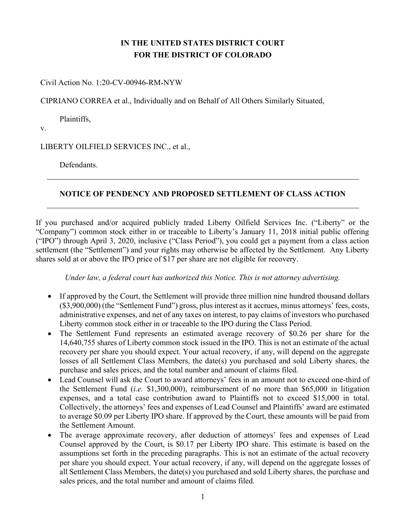# IN THE UNITED STATES DISTRICT COURT FOR THE DISTRICT OF COLORADO

Civil Action No. 1:20-CV-00946-RM-NYW

CIPRIANO CORREA et al., Individually and on Behalf of All Others Similarly Situated,

Plaintiffs,

v.

LIBERTY OILFIELD SERVICES INC., et al.,

Defendants.

## NOTICE OF PENDENCY AND PROPOSED SETTLEMENT OF CLASS ACTION

If you purchased and/or acquired publicly traded Liberty Oilfield Services Inc. ("Liberty" or the "Company") common stock either in or traceable to Liberty's January 11, 2018 initial public offering ("IPO") through April 3, 2020, inclusive ("Class Period"), you could get a payment from a class action settlement (the "Settlement") and your rights may otherwise be affected by the Settlement. Any Liberty shares sold at or above the IPO price of \$17 per share are not eligible for recovery.

Under law, a federal court has authorized this Notice. This is not attorney advertising.

- If approved by the Court, the Settlement will provide three million nine hundred thousand dollars (\$3,900,000) (the "Settlement Fund") gross, plus interest as it accrues, minus attorneys' fees, costs, administrative expenses, and net of any taxes on interest, to pay claims of investors who purchased Liberty common stock either in or traceable to the IPO during the Class Period.
- The Settlement Fund represents an estimated average recovery of \$0.26 per share for the 14,640,755 shares of Liberty common stock issued in the IPO. This is not an estimate of the actual recovery per share you should expect. Your actual recovery, if any, will depend on the aggregate losses of all Settlement Class Members, the date(s) you purchased and sold Liberty shares, the purchase and sales prices, and the total number and amount of claims filed.
- Lead Counsel will ask the Court to award attorneys' fees in an amount not to exceed one-third of the Settlement Fund (i.e. \$1,300,000), reimbursement of no more than \$65,000 in litigation expenses, and a total case contribution award to Plaintiffs not to exceed \$15,000 in total. Collectively, the attorneys' fees and expenses of Lead Counsel and Plaintiffs' award are estimated to average \$0.09 per Liberty IPO share. If approved by the Court, these amounts will be paid from the Settlement Amount.
- The average approximate recovery, after deduction of attorneys' fees and expenses of Lead Counsel approved by the Court, is \$0.17 per Liberty IPO share. This estimate is based on the assumptions set forth in the preceding paragraphs. This is not an estimate of the actual recovery per share you should expect. Your actual recovery, if any, will depend on the aggregate losses of all Settlement Class Members, the date(s) you purchased and sold Liberty shares, the purchase and sales prices, and the total number and amount of claims filed.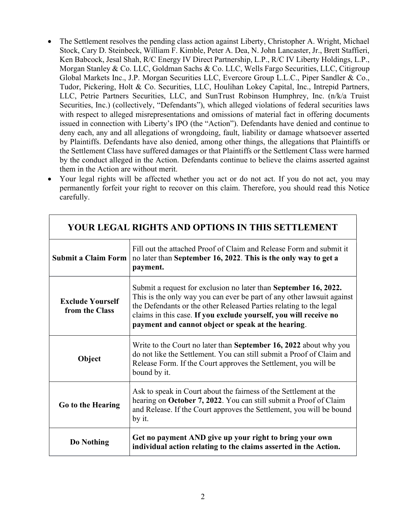- The Settlement resolves the pending class action against Liberty, Christopher A. Wright, Michael Stock, Cary D. Steinbeck, William F. Kimble, Peter A. Dea, N. John Lancaster, Jr., Brett Staffieri, Ken Babcock, Jesal Shah, R/C Energy IV Direct Partnership, L.P., R/C IV Liberty Holdings, L.P., Morgan Stanley & Co. LLC, Goldman Sachs & Co. LLC, Wells Fargo Securities, LLC, Citigroup Global Markets Inc., J.P. Morgan Securities LLC, Evercore Group L.L.C., Piper Sandler & Co., Tudor, Pickering, Holt & Co. Securities, LLC, Houlihan Lokey Capital, Inc., Intrepid Partners, LLC, Petrie Partners Securities, LLC, and SunTrust Robinson Humphrey, Inc. (n/k/a Truist Securities, Inc.) (collectively, "Defendants"), which alleged violations of federal securities laws with respect to alleged misrepresentations and omissions of material fact in offering documents issued in connection with Liberty's IPO (the "Action"). Defendants have denied and continue to deny each, any and all allegations of wrongdoing, fault, liability or damage whatsoever asserted by Plaintiffs. Defendants have also denied, among other things, the allegations that Plaintiffs or the Settlement Class have suffered damages or that Plaintiffs or the Settlement Class were harmed by the conduct alleged in the Action. Defendants continue to believe the claims asserted against them in the Action are without merit.
- Your legal rights will be affected whether you act or do not act. If you do not act, you may permanently forfeit your right to recover on this claim. Therefore, you should read this Notice carefully.

| YOUR LEGAL RIGHTS AND OPTIONS IN THIS SETTLEMENT |                                                                                                                                                                                                                                                                                                                                             |  |
|--------------------------------------------------|---------------------------------------------------------------------------------------------------------------------------------------------------------------------------------------------------------------------------------------------------------------------------------------------------------------------------------------------|--|
| <b>Submit a Claim Form</b>                       | Fill out the attached Proof of Claim and Release Form and submit it<br>no later than September 16, 2022. This is the only way to get a<br>payment.                                                                                                                                                                                          |  |
| <b>Exclude Yourself</b><br>from the Class        | Submit a request for exclusion no later than September 16, 2022.<br>This is the only way you can ever be part of any other lawsuit against<br>the Defendants or the other Released Parties relating to the legal<br>claims in this case. If you exclude yourself, you will receive no<br>payment and cannot object or speak at the hearing. |  |
| Object                                           | Write to the Court no later than September 16, 2022 about why you<br>do not like the Settlement. You can still submit a Proof of Claim and<br>Release Form. If the Court approves the Settlement, you will be<br>bound by it.                                                                                                               |  |
| Go to the Hearing                                | Ask to speak in Court about the fairness of the Settlement at the<br>hearing on October 7, 2022. You can still submit a Proof of Claim<br>and Release. If the Court approves the Settlement, you will be bound<br>by it.                                                                                                                    |  |
| Do Nothing                                       | Get no payment AND give up your right to bring your own<br>individual action relating to the claims asserted in the Action.                                                                                                                                                                                                                 |  |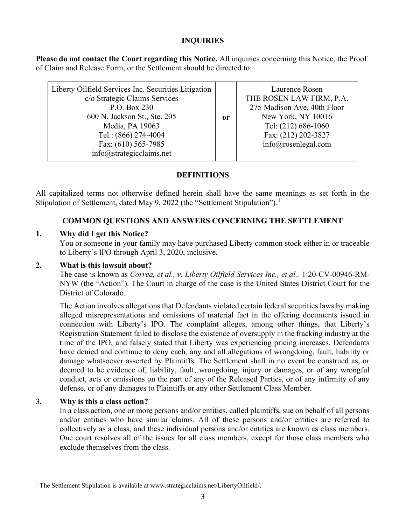## INQUIRIES

Please do not contact the Court regarding this Notice. All inquiries concerning this Notice, the Proof of Claim and Release Form, or the Settlement should be directed to:

or

Liberty Oilfield Services Inc. Securities Litigation c/o Strategic Claims Services P.O. Box 230 600 N. Jackson St., Ste. 205 Media, PA 19063 Tel.: (866) 274-4004 Fax: (610) 565-7985 info@strategicclaims.net

Laurence Rosen THE ROSEN LAW FIRM, P.A. 275 Madison Ave, 40th Floor New York, NY 10016 Tel: (212) 686-1060 Fax: (212) 202-3827 info@rosenlegal.com

# DEFINITIONS

All capitalized terms not otherwise defined herein shall have the same meanings as set forth in the Stipulation of Settlement, dated May 9, 2022 (the "Settlement Stipulation").<sup>1</sup>

# COMMON QUESTIONS AND ANSWERS CONCERNING THE SETTLEMENT

# 1. Why did I get this Notice?

You or someone in your family may have purchased Liberty common stock either in or traceable to Liberty's IPO through April 3, 2020, inclusive.

# 2. What is this lawsuit about?

The case is known as Correa, et al., v. Liberty Oilfield Services Inc., et al., 1:20-CV-00946-RM-NYW (the "Action"). The Court in charge of the case is the United States District Court for the District of Colorado.

The Action involves allegations that Defendants violated certain federal securities laws by making alleged misrepresentations and omissions of material fact in the offering documents issued in connection with Liberty's IPO. The complaint alleges, among other things, that Liberty's Registration Statement failed to disclose the existence of oversupply in the fracking industry at the time of the IPO, and falsely stated that Liberty was experiencing pricing increases. Defendants have denied and continue to deny each, any and all allegations of wrongdoing, fault, liability or damage whatsoever asserted by Plaintiffs. The Settlement shall in no event be construed as, or deemed to be evidence of, liability, fault, wrongdoing, injury or damages, or of any wrongful conduct, acts or omissions on the part of any of the Released Parties, or of any infirmity of any defense, or of any damages to Plaintiffs or any other Settlement Class Member.

## 3. Why is this a class action?

In a class action, one or more persons and/or entities, called plaintiffs, sue on behalf of all persons and/or entities who have similar claims. All of these persons and/or entities are referred to collectively as a class, and these individual persons and/or entities are known as class members. One court resolves all of the issues for all class members, except for those class members who exclude themselves from the class.

<sup>&</sup>lt;sup>1</sup> The Settlement Stipulation is available at www.strategicclaims.net/LibertyOilfield/.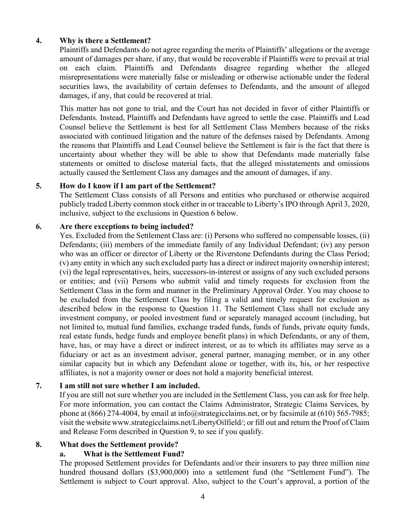## 4. Why is there a Settlement?

Plaintiffs and Defendants do not agree regarding the merits of Plaintiffs' allegations or the average amount of damages per share, if any, that would be recoverable if Plaintiffs were to prevail at trial on each claim. Plaintiffs and Defendants disagree regarding whether the alleged misrepresentations were materially false or misleading or otherwise actionable under the federal securities laws, the availability of certain defenses to Defendants, and the amount of alleged damages, if any, that could be recovered at trial.

This matter has not gone to trial, and the Court has not decided in favor of either Plaintiffs or Defendants. Instead, Plaintiffs and Defendants have agreed to settle the case. Plaintiffs and Lead Counsel believe the Settlement is best for all Settlement Class Members because of the risks associated with continued litigation and the nature of the defenses raised by Defendants. Among the reasons that Plaintiffs and Lead Counsel believe the Settlement is fair is the fact that there is uncertainty about whether they will be able to show that Defendants made materially false statements or omitted to disclose material facts, that the alleged misstatements and omissions actually caused the Settlement Class any damages and the amount of damages, if any.

### 5. How do I know if I am part of the Settlement?

The Settlement Class consists of all Persons and entities who purchased or otherwise acquired publicly traded Liberty common stock either in or traceable to Liberty's IPO through April 3, 2020, inclusive, subject to the exclusions in Question 6 below.

### 6. Are there exceptions to being included?

Yes. Excluded from the Settlement Class are: (i) Persons who suffered no compensable losses, (ii) Defendants; (iii) members of the immediate family of any Individual Defendant; (iv) any person who was an officer or director of Liberty or the Riverstone Defendants during the Class Period; (v) any entity in which any such excluded party has a direct or indirect majority ownership interest; (vi) the legal representatives, heirs, successors-in-interest or assigns of any such excluded persons or entities; and (vii) Persons who submit valid and timely requests for exclusion from the Settlement Class in the form and manner in the Preliminary Approval Order. You may choose to be excluded from the Settlement Class by filing a valid and timely request for exclusion as described below in the response to Question 11. The Settlement Class shall not exclude any investment company, or pooled investment fund or separately managed account (including, but not limited to, mutual fund families, exchange traded funds, funds of funds, private equity funds, real estate funds, hedge funds and employee benefit plans) in which Defendants, or any of them, have, has, or may have a direct or indirect interest, or as to which its affiliates may serve as a fiduciary or act as an investment advisor, general partner, managing member, or in any other similar capacity but in which any Defendant alone or together, with its, his, or her respective affiliates, is not a majority owner or does not hold a majority beneficial interest.

### 7. I am still not sure whether I am included.

If you are still not sure whether you are included in the Settlement Class, you can ask for free help. For more information, you can contact the Claims Administrator, Strategic Claims Services, by phone at  $(866)$  274-4004, by email at info@strategicclaims.net, or by facsimile at  $(610)$  565-7985; visit the website www.strategicclaims.net/LibertyOilfield/; or fill out and return the Proof of Claim and Release Form described in Question 9, to see if you qualify.

### 8. What does the Settlement provide?

### a. What is the Settlement Fund?

The proposed Settlement provides for Defendants and/or their insurers to pay three million nine hundred thousand dollars (\$3,900,000) into a settlement fund (the "Settlement Fund"). The Settlement is subject to Court approval. Also, subject to the Court's approval, a portion of the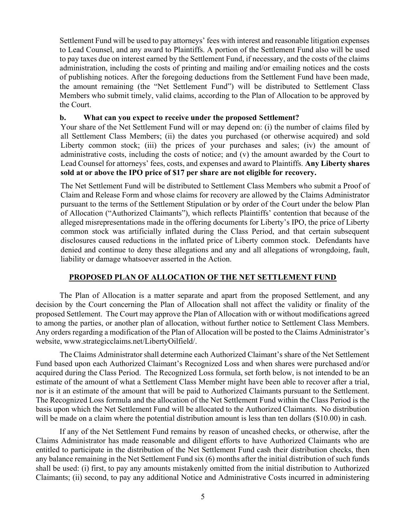Settlement Fund will be used to pay attorneys' fees with interest and reasonable litigation expenses to Lead Counsel, and any award to Plaintiffs. A portion of the Settlement Fund also will be used to pay taxes due on interest earned by the Settlement Fund, if necessary, and the costs of the claims administration, including the costs of printing and mailing and/or emailing notices and the costs of publishing notices. After the foregoing deductions from the Settlement Fund have been made, the amount remaining (the "Net Settlement Fund") will be distributed to Settlement Class Members who submit timely, valid claims, according to the Plan of Allocation to be approved by the Court.

### b. What can you expect to receive under the proposed Settlement?

Your share of the Net Settlement Fund will or may depend on: (i) the number of claims filed by all Settlement Class Members; (ii) the dates you purchased (or otherwise acquired) and sold Liberty common stock; (iii) the prices of your purchases and sales; (iv) the amount of administrative costs, including the costs of notice; and (v) the amount awarded by the Court to Lead Counsel for attorneys' fees, costs, and expenses and award to Plaintiffs. Any Liberty shares sold at or above the IPO price of \$17 per share are not eligible for recovery.

The Net Settlement Fund will be distributed to Settlement Class Members who submit a Proof of Claim and Release Form and whose claims for recovery are allowed by the Claims Administrator pursuant to the terms of the Settlement Stipulation or by order of the Court under the below Plan of Allocation ("Authorized Claimants"), which reflects Plaintiffs' contention that because of the alleged misrepresentations made in the offering documents for Liberty's IPO, the price of Liberty common stock was artificially inflated during the Class Period, and that certain subsequent disclosures caused reductions in the inflated price of Liberty common stock. Defendants have denied and continue to deny these allegations and any and all allegations of wrongdoing, fault, liability or damage whatsoever asserted in the Action.

### PROPOSED PLAN OF ALLOCATION OF THE NET SETTLEMENT FUND

The Plan of Allocation is a matter separate and apart from the proposed Settlement, and any decision by the Court concerning the Plan of Allocation shall not affect the validity or finality of the proposed Settlement. The Court may approve the Plan of Allocation with or without modifications agreed to among the parties, or another plan of allocation, without further notice to Settlement Class Members. Any orders regarding a modification of the Plan of Allocation will be posted to the Claims Administrator's website, www.strategicclaims.net/LibertyOilfield/.

 The Claims Administrator shall determine each Authorized Claimant's share of the Net Settlement Fund based upon each Authorized Claimant's Recognized Loss and when shares were purchased and/or acquired during the Class Period. The Recognized Loss formula, set forth below, is not intended to be an estimate of the amount of what a Settlement Class Member might have been able to recover after a trial, nor is it an estimate of the amount that will be paid to Authorized Claimants pursuant to the Settlement. The Recognized Loss formula and the allocation of the Net Settlement Fund within the Class Period is the basis upon which the Net Settlement Fund will be allocated to the Authorized Claimants. No distribution will be made on a claim where the potential distribution amount is less than ten dollars (\$10.00) in cash.

If any of the Net Settlement Fund remains by reason of uncashed checks, or otherwise, after the Claims Administrator has made reasonable and diligent efforts to have Authorized Claimants who are entitled to participate in the distribution of the Net Settlement Fund cash their distribution checks, then any balance remaining in the Net Settlement Fund six (6) months after the initial distribution of such funds shall be used: (i) first, to pay any amounts mistakenly omitted from the initial distribution to Authorized Claimants; (ii) second, to pay any additional Notice and Administrative Costs incurred in administering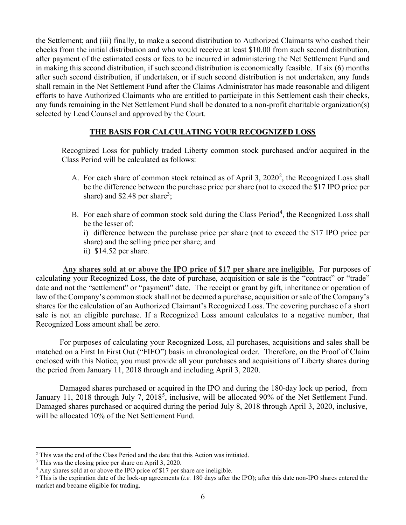the Settlement; and (iii) finally, to make a second distribution to Authorized Claimants who cashed their checks from the initial distribution and who would receive at least \$10.00 from such second distribution, after payment of the estimated costs or fees to be incurred in administering the Net Settlement Fund and in making this second distribution, if such second distribution is economically feasible. If six (6) months after such second distribution, if undertaken, or if such second distribution is not undertaken, any funds shall remain in the Net Settlement Fund after the Claims Administrator has made reasonable and diligent efforts to have Authorized Claimants who are entitled to participate in this Settlement cash their checks, any funds remaining in the Net Settlement Fund shall be donated to a non-profit charitable organization(s) selected by Lead Counsel and approved by the Court.

### THE BASIS FOR CALCULATING YOUR RECOGNIZED LOSS

Recognized Loss for publicly traded Liberty common stock purchased and/or acquired in the Class Period will be calculated as follows:

- A. For each share of common stock retained as of April 3,  $2020^2$ , the Recognized Loss shall be the difference between the purchase price per share (not to exceed the \$17 IPO price per share) and  $$2.48$  per share<sup>3</sup>;
- B. For each share of common stock sold during the Class Period<sup>4</sup>, the Recognized Loss shall be the lesser of:

i) difference between the purchase price per share (not to exceed the \$17 IPO price per share) and the selling price per share; and

ii) \$14.52 per share.

Any shares sold at or above the IPO price of \$17 per share are ineligible. For purposes of calculating your Recognized Loss, the date of purchase, acquisition or sale is the "contract" or "trade" date and not the "settlement" or "payment" date. The receipt or grant by gift, inheritance or operation of law of the Company's common stock shall not be deemed a purchase, acquisition or sale of the Company's shares for the calculation of an Authorized Claimant's Recognized Loss. The covering purchase of a short sale is not an eligible purchase. If a Recognized Loss amount calculates to a negative number, that Recognized Loss amount shall be zero.

 For purposes of calculating your Recognized Loss, all purchases, acquisitions and sales shall be matched on a First In First Out ("FIFO") basis in chronological order. Therefore, on the Proof of Claim enclosed with this Notice, you must provide all your purchases and acquisitions of Liberty shares during the period from January 11, 2018 through and including April 3, 2020.

Damaged shares purchased or acquired in the IPO and during the 180-day lock up period, from January 11, 2018 through July 7, 2018<sup>5</sup>, inclusive, will be allocated 90% of the Net Settlement Fund. Damaged shares purchased or acquired during the period July 8, 2018 through April 3, 2020, inclusive, will be allocated 10% of the Net Settlement Fund.

<sup>&</sup>lt;sup>2</sup> This was the end of the Class Period and the date that this Action was initiated.

<sup>&</sup>lt;sup>3</sup> This was the closing price per share on April 3, 2020.

<sup>4</sup> Any shares sold at or above the IPO price of \$17 per share are ineligible.

<sup>&</sup>lt;sup>5</sup> This is the expiration date of the lock-up agreements (*i.e.* 180 days after the IPO); after this date non-IPO shares entered the market and became eligible for trading.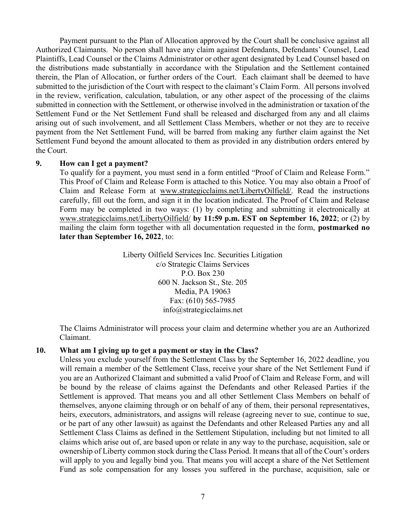Payment pursuant to the Plan of Allocation approved by the Court shall be conclusive against all Authorized Claimants. No person shall have any claim against Defendants, Defendants' Counsel, Lead Plaintiffs, Lead Counsel or the Claims Administrator or other agent designated by Lead Counsel based on the distributions made substantially in accordance with the Stipulation and the Settlement contained therein, the Plan of Allocation, or further orders of the Court. Each claimant shall be deemed to have submitted to the jurisdiction of the Court with respect to the claimant's Claim Form. All persons involved in the review, verification, calculation, tabulation, or any other aspect of the processing of the claims submitted in connection with the Settlement, or otherwise involved in the administration or taxation of the Settlement Fund or the Net Settlement Fund shall be released and discharged from any and all claims arising out of such involvement, and all Settlement Class Members, whether or not they are to receive payment from the Net Settlement Fund, will be barred from making any further claim against the Net Settlement Fund beyond the amount allocated to them as provided in any distribution orders entered by the Court.

#### 9. How can I get a payment?

To qualify for a payment, you must send in a form entitled "Proof of Claim and Release Form." This Proof of Claim and Release Form is attached to this Notice. You may also obtain a Proof of Claim and Release Form at www.strategicclaims.net/LibertyOilfield/. Read the instructions carefully, fill out the form, and sign it in the location indicated. The Proof of Claim and Release Form may be completed in two ways: (1) by completing and submitting it electronically at www.strategicclaims.net/LibertyOilfield/ by 11:59 p.m. EST on September 16, 2022; or (2) by mailing the claim form together with all documentation requested in the form, **postmarked no** later than September 16, 2022, to:

> Liberty Oilfield Services Inc. Securities Litigation c/o Strategic Claims Services P.O. Box 230 600 N. Jackson St., Ste. 205 Media, PA 19063 Fax: (610) 565-7985 info@strategicclaims.net

The Claims Administrator will process your claim and determine whether you are an Authorized Claimant.

#### 10. What am I giving up to get a payment or stay in the Class?

Unless you exclude yourself from the Settlement Class by the September 16, 2022 deadline, you will remain a member of the Settlement Class, receive your share of the Net Settlement Fund if you are an Authorized Claimant and submitted a valid Proof of Claim and Release Form, and will be bound by the release of claims against the Defendants and other Released Parties if the Settlement is approved. That means you and all other Settlement Class Members on behalf of themselves, anyone claiming through or on behalf of any of them, their personal representatives, heirs, executors, administrators, and assigns will release (agreeing never to sue, continue to sue, or be part of any other lawsuit) as against the Defendants and other Released Parties any and all Settlement Class Claims as defined in the Settlement Stipulation, including but not limited to all claims which arise out of, are based upon or relate in any way to the purchase, acquisition, sale or ownership of Liberty common stock during the Class Period. It means that all of the Court's orders will apply to you and legally bind you. That means you will accept a share of the Net Settlement Fund as sole compensation for any losses you suffered in the purchase, acquisition, sale or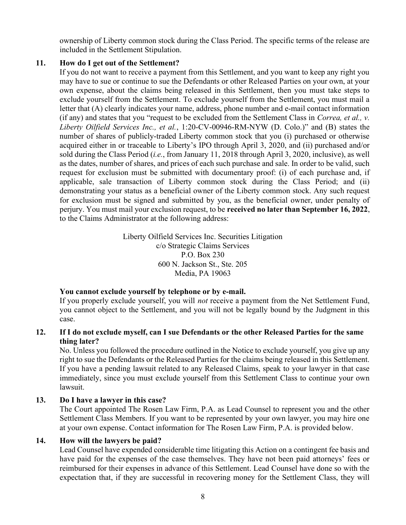ownership of Liberty common stock during the Class Period. The specific terms of the release are included in the Settlement Stipulation.

### 11. How do I get out of the Settlement?

If you do not want to receive a payment from this Settlement, and you want to keep any right you may have to sue or continue to sue the Defendants or other Released Parties on your own, at your own expense, about the claims being released in this Settlement, then you must take steps to exclude yourself from the Settlement. To exclude yourself from the Settlement, you must mail a letter that (A) clearly indicates your name, address, phone number and e-mail contact information (if any) and states that you "request to be excluded from the Settlement Class in *Correa, et al., v.* Liberty Oilfield Services Inc., et al., 1:20-CV-00946-RM-NYW (D. Colo.)" and (B) states the number of shares of publicly-traded Liberty common stock that you (i) purchased or otherwise acquired either in or traceable to Liberty's IPO through April 3, 2020, and (ii) purchased and/or sold during the Class Period (*i.e.*, from January 11, 2018 through April 3, 2020, inclusive), as well as the dates, number of shares, and prices of each such purchase and sale. In order to be valid, such request for exclusion must be submitted with documentary proof: (i) of each purchase and, if applicable, sale transaction of Liberty common stock during the Class Period; and (ii) demonstrating your status as a beneficial owner of the Liberty common stock. Any such request for exclusion must be signed and submitted by you, as the beneficial owner, under penalty of perjury. You must mail your exclusion request, to be received no later than September 16, 2022, to the Claims Administrator at the following address:

> Liberty Oilfield Services Inc. Securities Litigation c/o Strategic Claims Services P.O. Box 230 600 N. Jackson St., Ste. 205 Media, PA 19063

### You cannot exclude yourself by telephone or by e-mail.

If you properly exclude yourself, you will *not* receive a payment from the Net Settlement Fund, you cannot object to the Settlement, and you will not be legally bound by the Judgment in this case.

## 12. If I do not exclude myself, can I sue Defendants or the other Released Parties for the same thing later?

No. Unless you followed the procedure outlined in the Notice to exclude yourself, you give up any right to sue the Defendants or the Released Parties for the claims being released in this Settlement. If you have a pending lawsuit related to any Released Claims, speak to your lawyer in that case immediately, since you must exclude yourself from this Settlement Class to continue your own lawsuit.

## 13. Do I have a lawyer in this case?

The Court appointed The Rosen Law Firm, P.A. as Lead Counsel to represent you and the other Settlement Class Members. If you want to be represented by your own lawyer, you may hire one at your own expense. Contact information for The Rosen Law Firm, P.A. is provided below.

## 14. How will the lawyers be paid?

Lead Counsel have expended considerable time litigating this Action on a contingent fee basis and have paid for the expenses of the case themselves. They have not been paid attorneys' fees or reimbursed for their expenses in advance of this Settlement. Lead Counsel have done so with the expectation that, if they are successful in recovering money for the Settlement Class, they will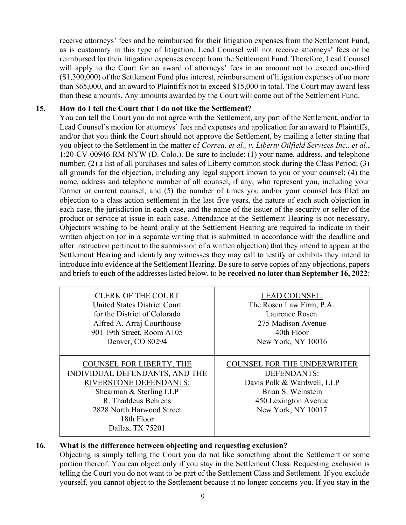receive attorneys' fees and be reimbursed for their litigation expenses from the Settlement Fund, as is customary in this type of litigation. Lead Counsel will not receive attorneys' fees or be reimbursed for their litigation expenses except from the Settlement Fund. Therefore, Lead Counsel will apply to the Court for an award of attorneys' fees in an amount not to exceed one-third (\$1,300,000) of the Settlement Fund plus interest, reimbursement of litigation expenses of no more than \$65,000, and an award to Plaintiffs not to exceed \$15,000 in total. The Court may award less than these amounts. Any amounts awarded by the Court will come out of the Settlement Fund.

### 15. How do I tell the Court that I do not like the Settlement?

You can tell the Court you do not agree with the Settlement, any part of the Settlement, and/or to Lead Counsel's motion for attorneys' fees and expenses and application for an award to Plaintiffs, and/or that you think the Court should not approve the Settlement, by mailing a letter stating that you object to the Settlement in the matter of Correa, et al., v. Liberty Oilfield Services Inc., et al., 1:20-CV-00946-RM-NYW (D. Colo.). Be sure to include: (1) your name, address, and telephone number; (2) a list of all purchases and sales of Liberty common stock during the Class Period; (3) all grounds for the objection, including any legal support known to you or your counsel; (4) the name, address and telephone number of all counsel, if any, who represent you, including your former or current counsel; and (5) the number of times you and/or your counsel has filed an objection to a class action settlement in the last five years, the nature of each such objection in each case, the jurisdiction in each case, and the name of the issuer of the security or seller of the product or service at issue in each case. Attendance at the Settlement Hearing is not necessary. Objectors wishing to be heard orally at the Settlement Hearing are required to indicate in their written objection (or in a separate writing that is submitted in accordance with the deadline and after instruction pertinent to the submission of a written objection) that they intend to appear at the Settlement Hearing and identify any witnesses they may call to testify or exhibits they intend to introduce into evidence at the Settlement Hearing. Be sure to serve copies of any objections, papers and briefs to each of the addresses listed below, to be received no later than September 16, 2022:

| <b>CLERK OF THE COURT</b>                                                                                                                                                                                           | <b>LEAD COUNSEL:</b>                                                                                                                                |
|---------------------------------------------------------------------------------------------------------------------------------------------------------------------------------------------------------------------|-----------------------------------------------------------------------------------------------------------------------------------------------------|
| <b>United States District Court</b>                                                                                                                                                                                 | The Rosen Law Firm, P.A.                                                                                                                            |
| for the District of Colorado                                                                                                                                                                                        | Laurence Rosen                                                                                                                                      |
| Alfred A. Arraj Courthouse                                                                                                                                                                                          | 275 Madison Avenue                                                                                                                                  |
| 901 19th Street, Room A105                                                                                                                                                                                          | 40th Floor                                                                                                                                          |
| Denver, CO 80294                                                                                                                                                                                                    | New York, NY 10016                                                                                                                                  |
| <b>COUNSEL FOR LIBERTY, THE</b><br>INDIVIDUAL DEFENDANTS, AND THE<br><b>RIVERSTONE DEFENDANTS:</b><br>Shearman & Sterling LLP<br>R. Thaddeus Behrens<br>2828 North Harwood Street<br>18th Floor<br>Dallas, TX 75201 | <b>COUNSEL FOR THE UNDERWRITER</b><br>DEFENDANTS:<br>Davis Polk & Wardwell, LLP<br>Brian S. Weinstein<br>450 Lexington Avenue<br>New York, NY 10017 |

### 16. What is the difference between objecting and requesting exclusion?

Objecting is simply telling the Court you do not like something about the Settlement or some portion thereof. You can object only if you stay in the Settlement Class. Requesting exclusion is telling the Court you do not want to be part of the Settlement Class and Settlement. If you exclude yourself, you cannot object to the Settlement because it no longer concerns you. If you stay in the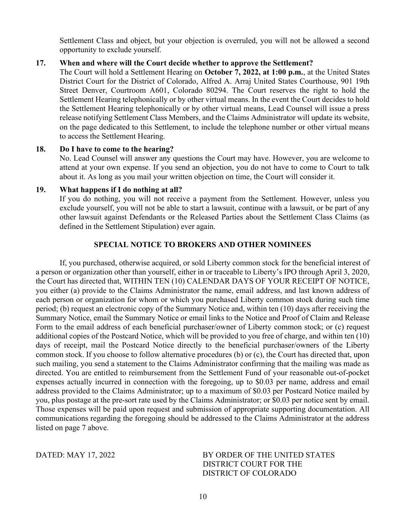Settlement Class and object, but your objection is overruled, you will not be allowed a second opportunity to exclude yourself.

### 17. When and where will the Court decide whether to approve the Settlement?

The Court will hold a Settlement Hearing on October 7, 2022, at 1:00 p.m., at the United States District Court for the District of Colorado, Alfred A. Arraj United States Courthouse, 901 19th Street Denver, Courtroom A601, Colorado 80294. The Court reserves the right to hold the Settlement Hearing telephonically or by other virtual means. In the event the Court decides to hold the Settlement Hearing telephonically or by other virtual means, Lead Counsel will issue a press release notifying Settlement Class Members, and the Claims Administrator will update its website, on the page dedicated to this Settlement, to include the telephone number or other virtual means to access the Settlement Hearing.

#### 18. Do I have to come to the hearing?

No. Lead Counsel will answer any questions the Court may have. However, you are welcome to attend at your own expense. If you send an objection, you do not have to come to Court to talk about it. As long as you mail your written objection on time, the Court will consider it.

### 19. What happens if I do nothing at all?

If you do nothing, you will not receive a payment from the Settlement. However, unless you exclude yourself, you will not be able to start a lawsuit, continue with a lawsuit, or be part of any other lawsuit against Defendants or the Released Parties about the Settlement Class Claims (as defined in the Settlement Stipulation) ever again.

### SPECIAL NOTICE TO BROKERS AND OTHER NOMINEES

 If, you purchased, otherwise acquired, or sold Liberty common stock for the beneficial interest of a person or organization other than yourself, either in or traceable to Liberty's IPO through April 3, 2020, the Court has directed that, WITHIN TEN (10) CALENDAR DAYS OF YOUR RECEIPT OF NOTICE, you either (a) provide to the Claims Administrator the name, email address, and last known address of each person or organization for whom or which you purchased Liberty common stock during such time period; (b) request an electronic copy of the Summary Notice and, within ten (10) days after receiving the Summary Notice, email the Summary Notice or email links to the Notice and Proof of Claim and Release Form to the email address of each beneficial purchaser/owner of Liberty common stock; or (c) request additional copies of the Postcard Notice, which will be provided to you free of charge, and within ten (10) days of receipt, mail the Postcard Notice directly to the beneficial purchaser/owners of the Liberty common stock. If you choose to follow alternative procedures (b) or (c), the Court has directed that, upon such mailing, you send a statement to the Claims Administrator confirming that the mailing was made as directed. You are entitled to reimbursement from the Settlement Fund of your reasonable out-of-pocket expenses actually incurred in connection with the foregoing, up to \$0.03 per name, address and email address provided to the Claims Administrator; up to a maximum of \$0.03 per Postcard Notice mailed by you, plus postage at the pre-sort rate used by the Claims Administrator; or \$0.03 per notice sent by email. Those expenses will be paid upon request and submission of appropriate supporting documentation. All communications regarding the foregoing should be addressed to the Claims Administrator at the address listed on page 7 above.

DATED: MAY 17, 2022 BY ORDER OF THE UNITED STATES DISTRICT COURT FOR THE DISTRICT OF COLORADO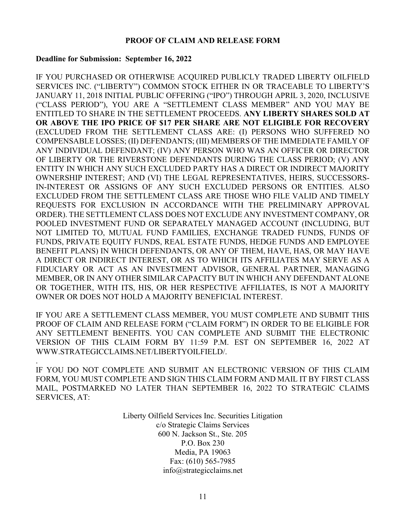### PROOF OF CLAIM AND RELEASE FORM

#### Deadline for Submission: September 16, 2022

.

IF YOU PURCHASED OR OTHERWISE ACQUIRED PUBLICLY TRADED LIBERTY OILFIELD SERVICES INC. ("LIBERTY") COMMON STOCK EITHER IN OR TRACEABLE TO LIBERTY'S JANUARY 11, 2018 INITIAL PUBLIC OFFERING ("IPO") THROUGH APRIL 3, 2020, INCLUSIVE ("CLASS PERIOD"), YOU ARE A "SETTLEMENT CLASS MEMBER" AND YOU MAY BE ENTITLED TO SHARE IN THE SETTLEMENT PROCEEDS. ANY LIBERTY SHARES SOLD AT OR ABOVE THE IPO PRICE OF \$17 PER SHARE ARE NOT ELIGIBLE FOR RECOVERY (EXCLUDED FROM THE SETTLEMENT CLASS ARE: (I) PERSONS WHO SUFFERED NO COMPENSABLE LOSSES; (II) DEFENDANTS; (III) MEMBERS OF THE IMMEDIATE FAMILY OF ANY INDIVIDUAL DEFENDANT; (IV) ANY PERSON WHO WAS AN OFFICER OR DIRECTOR OF LIBERTY OR THE RIVERSTONE DEFENDANTS DURING THE CLASS PERIOD; (V) ANY ENTITY IN WHICH ANY SUCH EXCLUDED PARTY HAS A DIRECT OR INDIRECT MAJORITY OWNERSHIP INTEREST; AND (VI) THE LEGAL REPRESENTATIVES, HEIRS, SUCCESSORS-IN-INTEREST OR ASSIGNS OF ANY SUCH EXCLUDED PERSONS OR ENTITIES. ALSO EXCLUDED FROM THE SETTLEMENT CLASS ARE THOSE WHO FILE VALID AND TIMELY REQUESTS FOR EXCLUSION IN ACCORDANCE WITH THE PRELIMINARY APPROVAL ORDER). THE SETTLEMENT CLASS DOES NOT EXCLUDE ANY INVESTMENT COMPANY, OR POOLED INVESTMENT FUND OR SEPARATELY MANAGED ACCOUNT (INCLUDING, BUT NOT LIMITED TO, MUTUAL FUND FAMILIES, EXCHANGE TRADED FUNDS, FUNDS OF FUNDS, PRIVATE EQUITY FUNDS, REAL ESTATE FUNDS, HEDGE FUNDS AND EMPLOYEE BENEFIT PLANS) IN WHICH DEFENDANTS, OR ANY OF THEM, HAVE, HAS, OR MAY HAVE A DIRECT OR INDIRECT INTEREST, OR AS TO WHICH ITS AFFILIATES MAY SERVE AS A FIDUCIARY OR ACT AS AN INVESTMENT ADVISOR, GENERAL PARTNER, MANAGING MEMBER, OR IN ANY OTHER SIMILAR CAPACITY BUT IN WHICH ANY DEFENDANT ALONE OR TOGETHER, WITH ITS, HIS, OR HER RESPECTIVE AFFILIATES, IS NOT A MAJORITY OWNER OR DOES NOT HOLD A MAJORITY BENEFICIAL INTEREST.

IF YOU ARE A SETTLEMENT CLASS MEMBER, YOU MUST COMPLETE AND SUBMIT THIS PROOF OF CLAIM AND RELEASE FORM ("CLAIM FORM") IN ORDER TO BE ELIGIBLE FOR ANY SETTLEMENT BENEFITS. YOU CAN COMPLETE AND SUBMIT THE ELECTRONIC VERSION OF THIS CLAIM FORM BY 11:59 P.M. EST ON SEPTEMBER 16, 2022 AT WWW.STRATEGICCLAIMS.NET/LIBERTYOILFIELD/.

IF YOU DO NOT COMPLETE AND SUBMIT AN ELECTRONIC VERSION OF THIS CLAIM FORM, YOU MUST COMPLETE AND SIGN THIS CLAIM FORM AND MAIL IT BY FIRST CLASS MAIL, POSTMARKED NO LATER THAN SEPTEMBER 16, 2022 TO STRATEGIC CLAIMS SERVICES, AT:

> Liberty Oilfield Services Inc. Securities Litigation c/o Strategic Claims Services 600 N. Jackson St., Ste. 205 P.O. Box 230 Media, PA 19063 Fax: (610) 565-7985 info@strategicclaims.net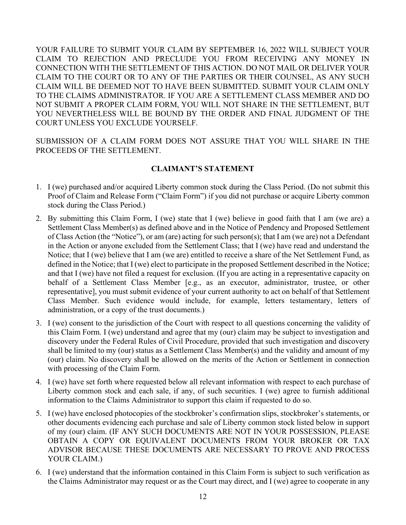YOUR FAILURE TO SUBMIT YOUR CLAIM BY SEPTEMBER 16, 2022 WILL SUBJECT YOUR CLAIM TO REJECTION AND PRECLUDE YOU FROM RECEIVING ANY MONEY IN CONNECTION WITH THE SETTLEMENT OF THIS ACTION. DO NOT MAIL OR DELIVER YOUR CLAIM TO THE COURT OR TO ANY OF THE PARTIES OR THEIR COUNSEL, AS ANY SUCH CLAIM WILL BE DEEMED NOT TO HAVE BEEN SUBMITTED. SUBMIT YOUR CLAIM ONLY TO THE CLAIMS ADMINISTRATOR. IF YOU ARE A SETTLEMENT CLASS MEMBER AND DO NOT SUBMIT A PROPER CLAIM FORM, YOU WILL NOT SHARE IN THE SETTLEMENT, BUT YOU NEVERTHELESS WILL BE BOUND BY THE ORDER AND FINAL JUDGMENT OF THE COURT UNLESS YOU EXCLUDE YOURSELF.

SUBMISSION OF A CLAIM FORM DOES NOT ASSURE THAT YOU WILL SHARE IN THE PROCEEDS OF THE SETTLEMENT.

## CLAIMANT'S STATEMENT

- 1. I (we) purchased and/or acquired Liberty common stock during the Class Period. (Do not submit this Proof of Claim and Release Form ("Claim Form") if you did not purchase or acquire Liberty common stock during the Class Period.)
- 2. By submitting this Claim Form, I (we) state that I (we) believe in good faith that I am (we are) a Settlement Class Member(s) as defined above and in the Notice of Pendency and Proposed Settlement of Class Action (the "Notice"), or am (are) acting for such person(s); that I am (we are) not a Defendant in the Action or anyone excluded from the Settlement Class; that I (we) have read and understand the Notice; that I (we) believe that I am (we are) entitled to receive a share of the Net Settlement Fund, as defined in the Notice; that I (we) elect to participate in the proposed Settlement described in the Notice; and that I (we) have not filed a request for exclusion. (If you are acting in a representative capacity on behalf of a Settlement Class Member [e.g., as an executor, administrator, trustee, or other representative], you must submit evidence of your current authority to act on behalf of that Settlement Class Member. Such evidence would include, for example, letters testamentary, letters of administration, or a copy of the trust documents.)
- 3. I (we) consent to the jurisdiction of the Court with respect to all questions concerning the validity of this Claim Form. I (we) understand and agree that my (our) claim may be subject to investigation and discovery under the Federal Rules of Civil Procedure, provided that such investigation and discovery shall be limited to my (our) status as a Settlement Class Member(s) and the validity and amount of my (our) claim. No discovery shall be allowed on the merits of the Action or Settlement in connection with processing of the Claim Form.
- 4. I (we) have set forth where requested below all relevant information with respect to each purchase of Liberty common stock and each sale, if any, of such securities. I (we) agree to furnish additional information to the Claims Administrator to support this claim if requested to do so.
- 5. I (we) have enclosed photocopies of the stockbroker's confirmation slips, stockbroker's statements, or other documents evidencing each purchase and sale of Liberty common stock listed below in support of my (our) claim. (IF ANY SUCH DOCUMENTS ARE NOT IN YOUR POSSESSION, PLEASE OBTAIN A COPY OR EQUIVALENT DOCUMENTS FROM YOUR BROKER OR TAX ADVISOR BECAUSE THESE DOCUMENTS ARE NECESSARY TO PROVE AND PROCESS YOUR CLAIM.)
- 6. I (we) understand that the information contained in this Claim Form is subject to such verification as the Claims Administrator may request or as the Court may direct, and I (we) agree to cooperate in any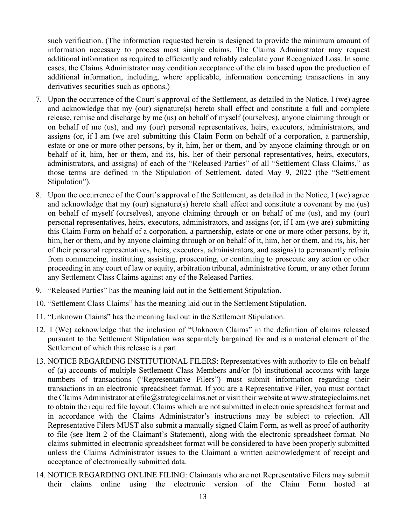such verification. (The information requested herein is designed to provide the minimum amount of information necessary to process most simple claims. The Claims Administrator may request additional information as required to efficiently and reliably calculate your Recognized Loss. In some cases, the Claims Administrator may condition acceptance of the claim based upon the production of additional information, including, where applicable, information concerning transactions in any derivatives securities such as options.)

- 7. Upon the occurrence of the Court's approval of the Settlement, as detailed in the Notice, I (we) agree and acknowledge that my (our) signature(s) hereto shall effect and constitute a full and complete release, remise and discharge by me (us) on behalf of myself (ourselves), anyone claiming through or on behalf of me (us), and my (our) personal representatives, heirs, executors, administrators, and assigns (or, if I am (we are) submitting this Claim Form on behalf of a corporation, a partnership, estate or one or more other persons, by it, him, her or them, and by anyone claiming through or on behalf of it, him, her or them, and its, his, her of their personal representatives, heirs, executors, administrators, and assigns) of each of the "Released Parties" of all "Settlement Class Claims," as those terms are defined in the Stipulation of Settlement, dated May 9, 2022 (the "Settlement Stipulation").
- 8. Upon the occurrence of the Court's approval of the Settlement, as detailed in the Notice, I (we) agree and acknowledge that my (our) signature(s) hereto shall effect and constitute a covenant by me (us) on behalf of myself (ourselves), anyone claiming through or on behalf of me (us), and my (our) personal representatives, heirs, executors, administrators, and assigns (or, if I am (we are) submitting this Claim Form on behalf of a corporation, a partnership, estate or one or more other persons, by it, him, her or them, and by anyone claiming through or on behalf of it, him, her or them, and its, his, her of their personal representatives, heirs, executors, administrators, and assigns) to permanently refrain from commencing, instituting, assisting, prosecuting, or continuing to prosecute any action or other proceeding in any court of law or equity, arbitration tribunal, administrative forum, or any other forum any Settlement Class Claims against any of the Released Parties.
- 9. "Released Parties" has the meaning laid out in the Settlement Stipulation.
- 10. "Settlement Class Claims" has the meaning laid out in the Settlement Stipulation.
- 11. "Unknown Claims" has the meaning laid out in the Settlement Stipulation.
- 12. I (We) acknowledge that the inclusion of "Unknown Claims" in the definition of claims released pursuant to the Settlement Stipulation was separately bargained for and is a material element of the Settlement of which this release is a part.
- 13. NOTICE REGARDING INSTITUTIONAL FILERS: Representatives with authority to file on behalf of (a) accounts of multiple Settlement Class Members and/or (b) institutional accounts with large numbers of transactions ("Representative Filers") must submit information regarding their transactions in an electronic spreadsheet format. If you are a Representative Filer, you must contact the Claims Administrator at efile@strategicclaims.net or visit their website at www.strategicclaims.net to obtain the required file layout. Claims which are not submitted in electronic spreadsheet format and in accordance with the Claims Administrator's instructions may be subject to rejection. All Representative Filers MUST also submit a manually signed Claim Form, as well as proof of authority to file (see Item 2 of the Claimant's Statement), along with the electronic spreadsheet format. No claims submitted in electronic spreadsheet format will be considered to have been properly submitted unless the Claims Administrator issues to the Claimant a written acknowledgment of receipt and acceptance of electronically submitted data.
- 14. NOTICE REGARDING ONLINE FILING: Claimants who are not Representative Filers may submit their claims online using the electronic version of the Claim Form hosted at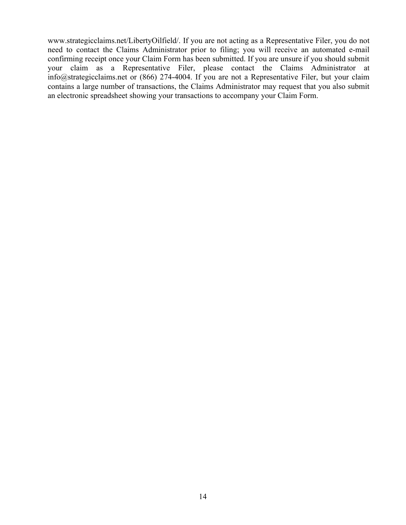www.strategicclaims.net/LibertyOilfield/. If you are not acting as a Representative Filer, you do not need to contact the Claims Administrator prior to filing; you will receive an automated e-mail confirming receipt once your Claim Form has been submitted. If you are unsure if you should submit your claim as a Representative Filer, please contact the Claims Administrator at info@strategicclaims.net or (866) 274-4004. If you are not a Representative Filer, but your claim contains a large number of transactions, the Claims Administrator may request that you also submit an electronic spreadsheet showing your transactions to accompany your Claim Form.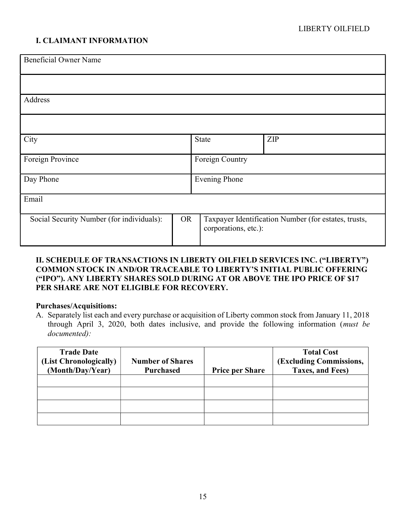## I. CLAIMANT INFORMATION

| <b>Beneficial Owner Name</b>              |           |                      |                                                      |  |
|-------------------------------------------|-----------|----------------------|------------------------------------------------------|--|
|                                           |           |                      |                                                      |  |
| Address                                   |           |                      |                                                      |  |
|                                           |           |                      |                                                      |  |
| City                                      |           | <b>State</b>         | ZIP                                                  |  |
| Foreign Province                          |           | Foreign Country      |                                                      |  |
| Day Phone                                 |           | <b>Evening Phone</b> |                                                      |  |
| Email                                     |           |                      |                                                      |  |
| Social Security Number (for individuals): | <b>OR</b> | corporations, etc.): | Taxpayer Identification Number (for estates, trusts, |  |

### II. SCHEDULE OF TRANSACTIONS IN LIBERTY OILFIELD SERVICES INC. ("LIBERTY") COMMON STOCK IN AND/OR TRACEABLE TO LIBERTY'S INITIAL PUBLIC OFFERING ("IPO"). ANY LIBERTY SHARES SOLD DURING AT OR ABOVE THE IPO PRICE OF \$17 PER SHARE ARE NOT ELIGIBLE FOR RECOVERY.

### Purchases/Acquisitions:

A. Separately list each and every purchase or acquisition of Liberty common stock from January 11, 2018 through April 3, 2020, both dates inclusive, and provide the following information (must be documented):

| <b>Trade Date</b><br>(List Chronologically)<br>(Month/Day/Year) | <b>Number of Shares</b><br><b>Purchased</b> | <b>Price per Share</b> | <b>Total Cost</b><br>(Excluding Commissions,<br>Taxes, and Fees) |
|-----------------------------------------------------------------|---------------------------------------------|------------------------|------------------------------------------------------------------|
|                                                                 |                                             |                        |                                                                  |
|                                                                 |                                             |                        |                                                                  |
|                                                                 |                                             |                        |                                                                  |
|                                                                 |                                             |                        |                                                                  |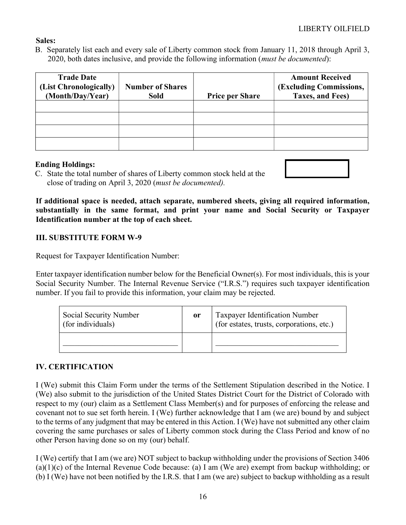### Sales:

B. Separately list each and every sale of Liberty common stock from January 11, 2018 through April 3, 2020, both dates inclusive, and provide the following information (*must be documented*):

| <b>Trade Date</b><br>(List Chronologically)<br>(Month/Day/Year) | <b>Number of Shares</b><br><b>Sold</b> | <b>Price per Share</b> | <b>Amount Received</b><br>(Excluding Commissions,<br>Taxes, and Fees) |
|-----------------------------------------------------------------|----------------------------------------|------------------------|-----------------------------------------------------------------------|
|                                                                 |                                        |                        |                                                                       |
|                                                                 |                                        |                        |                                                                       |
|                                                                 |                                        |                        |                                                                       |
|                                                                 |                                        |                        |                                                                       |

### Ending Holdings:

C. State the total number of shares of Liberty common stock held at the close of trading on April 3, 2020 (must be documented).

If additional space is needed, attach separate, numbered sheets, giving all required information, substantially in the same format, and print your name and Social Security or Taxpayer Identification number at the top of each sheet.

## III. SUBSTITUTE FORM W-9

Request for Taxpayer Identification Number:

Enter taxpayer identification number below for the Beneficial Owner(s). For most individuals, this is your Social Security Number. The Internal Revenue Service ("I.R.S.") requires such taxpayer identification number. If you fail to provide this information, your claim may be rejected.

| Social Security Number<br>(for individuals) | or | Taxpayer Identification Number<br>(for estates, trusts, corporations, etc.) |
|---------------------------------------------|----|-----------------------------------------------------------------------------|
|                                             |    |                                                                             |

## IV. CERTIFICATION

I (We) submit this Claim Form under the terms of the Settlement Stipulation described in the Notice. I (We) also submit to the jurisdiction of the United States District Court for the District of Colorado with respect to my (our) claim as a Settlement Class Member(s) and for purposes of enforcing the release and covenant not to sue set forth herein. I (We) further acknowledge that I am (we are) bound by and subject to the terms of any judgment that may be entered in this Action. I (We) have not submitted any other claim covering the same purchases or sales of Liberty common stock during the Class Period and know of no other Person having done so on my (our) behalf.

I (We) certify that I am (we are) NOT subject to backup withholding under the provisions of Section 3406 (a)(1)(c) of the Internal Revenue Code because: (a) I am (We are) exempt from backup withholding; or (b) I (We) have not been notified by the I.R.S. that I am (we are) subject to backup withholding as a result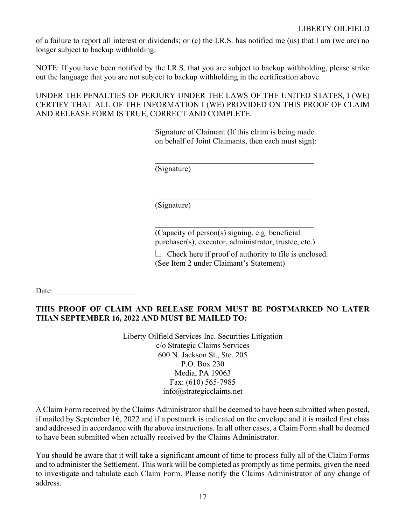of a failure to report all interest or dividends; or (c) the I.R.S. has notified me (us) that I am (we are) no longer subject to backup withholding.

NOTE: If you have been notified by the I.R.S. that you are subject to backup withholding, please strike out the language that you are not subject to backup withholding in the certification above.

UNDER THE PENALTIES OF PERJURY UNDER THE LAWS OF THE UNITED STATES, I (WE) CERTIFY THAT ALL OF THE INFORMATION I (WE) PROVIDED ON THIS PROOF OF CLAIM AND RELEASE FORM IS TRUE, CORRECT AND COMPLETE.

> Signature of Claimant (If this claim is being made on behalf of Joint Claimants, then each must sign):

(Signature)

(Signature)

(Capacity of person(s) signing, e.g. beneficial purchaser(s), executor, administrator, trustee, etc.)

 $\Box$  Check here if proof of authority to file is enclosed.

(See Item 2 under Claimant's Statement)

Date:

## THIS PROOF OF CLAIM AND RELEASE FORM MUST BE POSTMARKED NO LATER THAN SEPTEMBER 16, 2022 AND MUST BE MAILED TO:

Liberty Oilfield Services Inc. Securities Litigation c/o Strategic Claims Services 600 N. Jackson St., Ste. 205 P.O. Box 230 Media, PA 19063 Fax: (610) 565-7985 info@strategicclaims.net

A Claim Form received by the Claims Administrator shall be deemed to have been submitted when posted, if mailed by September 16, 2022 and if a postmark is indicated on the envelope and it is mailed first class and addressed in accordance with the above instructions. In all other cases, a Claim Form shall be deemed to have been submitted when actually received by the Claims Administrator.

You should be aware that it will take a significant amount of time to process fully all of the Claim Forms and to administer the Settlement. This work will be completed as promptly as time permits, given the need to investigate and tabulate each Claim Form. Please notify the Claims Administrator of any change of address.